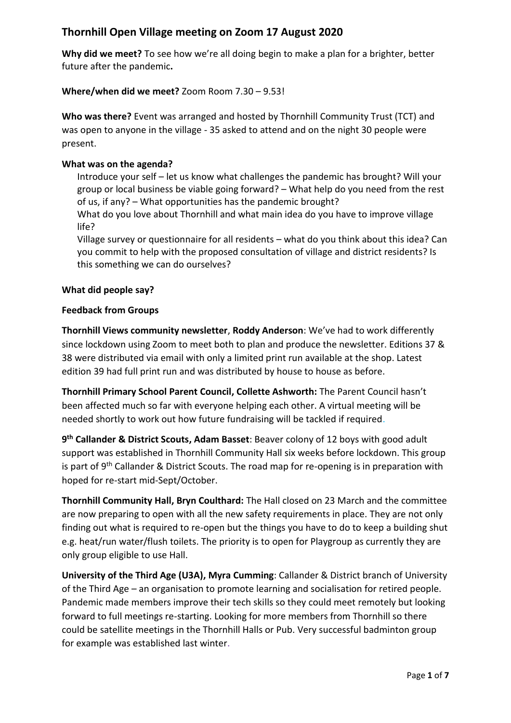# **Thornhill Open Village meeting on Zoom 17 August 2020**

**Why did we meet?** To see how we're all doing begin to make a plan for a brighter, better future after the pandemic**.** 

## **Where/when did we meet?** Zoom Room 7.30 – 9.53!

**Who was there?** Event was arranged and hosted by Thornhill Community Trust (TCT) and was open to anyone in the village - 35 asked to attend and on the night 30 people were present.

#### **What was on the agenda?**

Introduce your self – let us know what challenges the pandemic has brought? Will your group or local business be viable going forward? – What help do you need from the rest of us, if any? – What opportunities has the pandemic brought?

What do you love about Thornhill and what main idea do you have to improve village life?

Village survey or questionnaire for all residents – what do you think about this idea? Can you commit to help with the proposed consultation of village and district residents? Is this something we can do ourselves?

## **What did people say?**

#### **Feedback from Groups**

**Thornhill Views community newsletter**, **Roddy Anderson**: We've had to work differently since lockdown using Zoom to meet both to plan and produce the newsletter. Editions 37 & 38 were distributed via email with only a limited print run available at the shop. Latest edition 39 had full print run and was distributed by house to house as before.

**Thornhill Primary School Parent Council, Collette Ashworth:** The Parent Council hasn't been affected much so far with everyone helping each other. A virtual meeting will be needed shortly to work out how future fundraising will be tackled if required.

**9 th Callander & District Scouts, Adam Basset**: Beaver colony of 12 boys with good adult support was established in Thornhill Community Hall six weeks before lockdown. This group is part of  $9<sup>th</sup>$  Callander & District Scouts. The road map for re-opening is in preparation with hoped for re-start mid-Sept/October.

**Thornhill Community Hall, Bryn Coulthard:** The Hall closed on 23 March and the committee are now preparing to open with all the new safety requirements in place. They are not only finding out what is required to re-open but the things you have to do to keep a building shut e.g. heat/run water/flush toilets. The priority is to open for Playgroup as currently they are only group eligible to use Hall.

**University of the Third Age (U3A), Myra Cumming**: Callander & District branch of University of the Third Age – an organisation to promote learning and socialisation for retired people. Pandemic made members improve their tech skills so they could meet remotely but looking forward to full meetings re-starting. Looking for more members from Thornhill so there could be satellite meetings in the Thornhill Halls or Pub. Very successful badminton group for example was established last winter.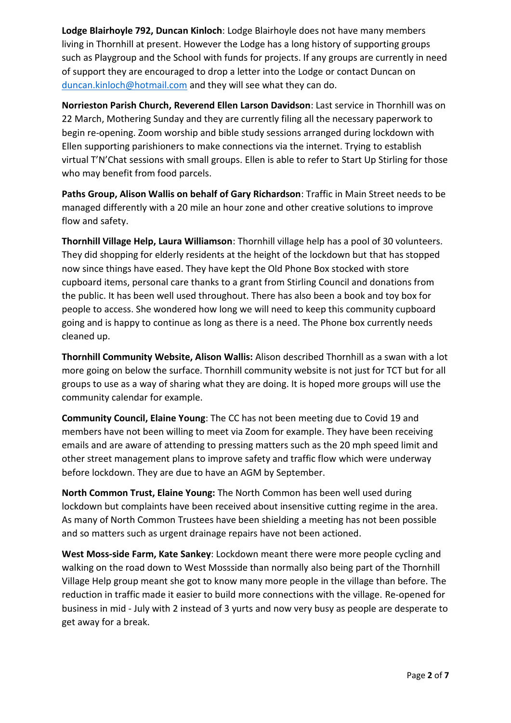**Lodge Blairhoyle 792, Duncan Kinloch**: Lodge Blairhoyle does not have many members living in Thornhill at present. However the Lodge has a long history of supporting groups such as Playgroup and the School with funds for projects. If any groups are currently in need of support they are encouraged to drop a letter into the Lodge or contact Duncan on [duncan.kinloch@hotmail.com](mailto:duncan.kinloch@hotmail.com) and they will see what they can do.

**Norrieston Parish Church, Reverend Ellen Larson Davidson**: Last service in Thornhill was on 22 March, Mothering Sunday and they are currently filing all the necessary paperwork to begin re-opening. Zoom worship and bible study sessions arranged during lockdown with Ellen supporting parishioners to make connections via the internet. Trying to establish virtual T'N'Chat sessions with small groups. Ellen is able to refer to Start Up Stirling for those who may benefit from food parcels.

**Paths Group, Alison Wallis on behalf of Gary Richardson**: Traffic in Main Street needs to be managed differently with a 20 mile an hour zone and other creative solutions to improve flow and safety.

**Thornhill Village Help, Laura Williamson**: Thornhill village help has a pool of 30 volunteers. They did shopping for elderly residents at the height of the lockdown but that has stopped now since things have eased. They have kept the Old Phone Box stocked with store cupboard items, personal care thanks to a grant from Stirling Council and donations from the public. It has been well used throughout. There has also been a book and toy box for people to access. She wondered how long we will need to keep this community cupboard going and is happy to continue as long as there is a need. The Phone box currently needs cleaned up.

**Thornhill Community Website, Alison Wallis:** Alison described Thornhill as a swan with a lot more going on below the surface. Thornhill community website is not just for TCT but for all groups to use as a way of sharing what they are doing. It is hoped more groups will use the community calendar for example.

**Community Council, Elaine Young**: The CC has not been meeting due to Covid 19 and members have not been willing to meet via Zoom for example. They have been receiving emails and are aware of attending to pressing matters such as the 20 mph speed limit and other street management plans to improve safety and traffic flow which were underway before lockdown. They are due to have an AGM by September.

**North Common Trust, Elaine Young:** The North Common has been well used during lockdown but complaints have been received about insensitive cutting regime in the area. As many of North Common Trustees have been shielding a meeting has not been possible and so matters such as urgent drainage repairs have not been actioned.

**West Moss-side Farm, Kate Sankey**: Lockdown meant there were more people cycling and walking on the road down to West Mossside than normally also being part of the Thornhill Village Help group meant she got to know many more people in the village than before. The reduction in traffic made it easier to build more connections with the village. Re-opened for business in mid - July with 2 instead of 3 yurts and now very busy as people are desperate to get away for a break.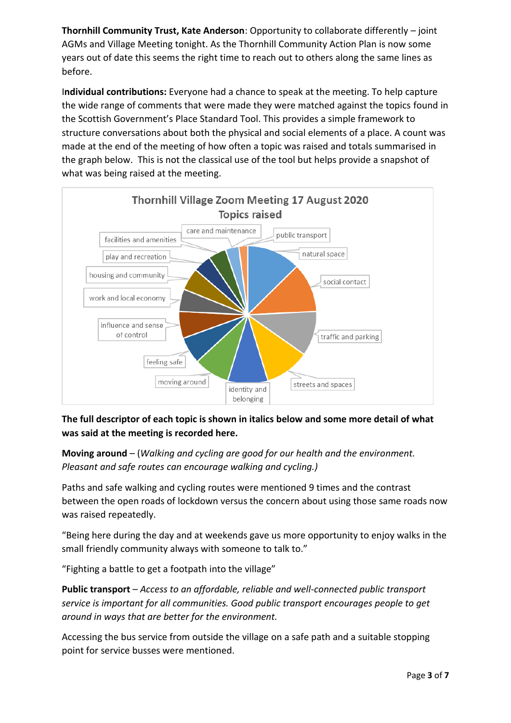**Thornhill Community Trust, Kate Anderson**: Opportunity to collaborate differently – joint AGMs and Village Meeting tonight. As the Thornhill Community Action Plan is now some years out of date this seems the right time to reach out to others along the same lines as before.

I**ndividual contributions:** Everyone had a chance to speak at the meeting. To help capture the wide range of comments that were made they were matched against the topics found in the Scottish Government's Place Standard Tool. This provides a simple framework to structure conversations about both the physical and social elements of a place. A count was made at the end of the meeting of how often a topic was raised and totals summarised in the graph below. This is not the classical use of the tool but helps provide a snapshot of what was being raised at the meeting.



**The full descriptor of each topic is shown in italics below and some more detail of what was said at the meeting is recorded here.**

**Moving around** – (*Walking and cycling are good for our health and the environment. Pleasant and safe routes can encourage walking and cycling.)*

Paths and safe walking and cycling routes were mentioned 9 times and the contrast between the open roads of lockdown versus the concern about using those same roads now was raised repeatedly.

"Being here during the day and at weekends gave us more opportunity to enjoy walks in the small friendly community always with someone to talk to."

"Fighting a battle to get a footpath into the village"

**Public transport** – *Access to an affordable, reliable and well-connected public transport service is important for all communities. Good public transport encourages people to get around in ways that are better for the environment.*

Accessing the bus service from outside the village on a safe path and a suitable stopping point for service busses were mentioned.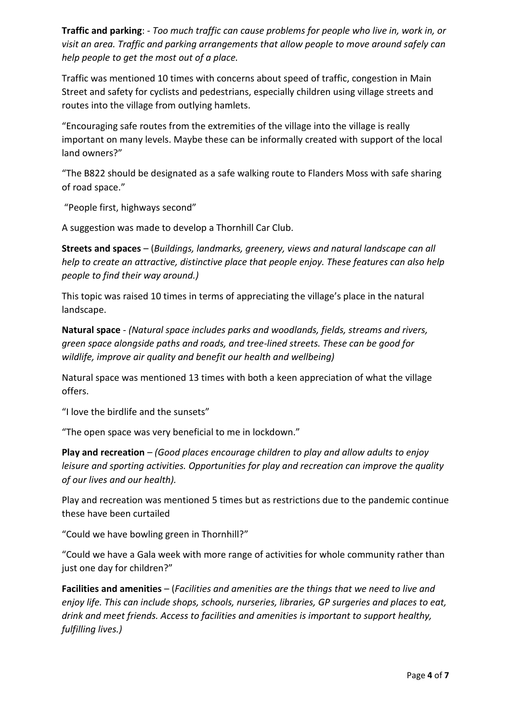**Traffic and parking**: *- Too much traffic can cause problems for people who live in, work in, or visit an area. Traffic and parking arrangements that allow people to move around safely can help people to get the most out of a place.*

Traffic was mentioned 10 times with concerns about speed of traffic, congestion in Main Street and safety for cyclists and pedestrians, especially children using village streets and routes into the village from outlying hamlets.

"Encouraging safe routes from the extremities of the village into the village is really important on many levels. Maybe these can be informally created with support of the local land owners?"

"The B822 should be designated as a safe walking route to Flanders Moss with safe sharing of road space."

"People first, highways second"

A suggestion was made to develop a Thornhill Car Club.

**Streets and spaces** – (*Buildings, landmarks, greenery, views and natural landscape can all help to create an attractive, distinctive place that people enjoy. These features can also help people to find their way around.)*

This topic was raised 10 times in terms of appreciating the village's place in the natural landscape.

**Natural space** - *(Natural space includes parks and woodlands, fields, streams and rivers, green space alongside paths and roads, and tree-lined streets. These can be good for wildlife, improve air quality and benefit our health and wellbeing)*

Natural space was mentioned 13 times with both a keen appreciation of what the village offers.

"I love the birdlife and the sunsets"

"The open space was very beneficial to me in lockdown."

**Play and recreation** – *(Good places encourage children to play and allow adults to enjoy leisure and sporting activities. Opportunities for play and recreation can improve the quality of our lives and our health).*

Play and recreation was mentioned 5 times but as restrictions due to the pandemic continue these have been curtailed

"Could we have bowling green in Thornhill?"

"Could we have a Gala week with more range of activities for whole community rather than just one day for children?"

**Facilities and amenities** – (*Facilities and amenities are the things that we need to live and enjoy life. This can include shops, schools, nurseries, libraries, GP surgeries and places to eat, drink and meet friends. Access to facilities and amenities is important to support healthy, fulfilling lives.)*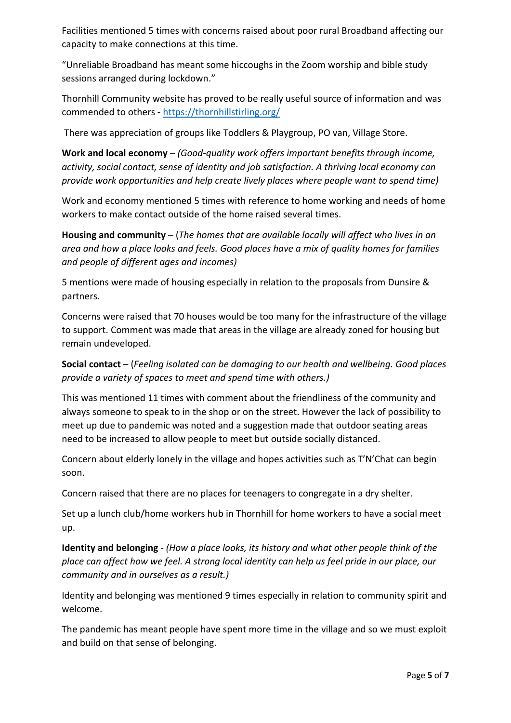Facilities mentioned 5 times with concerns raised about poor rural Broadband affecting our capacity to make connections at this time.

"Unreliable Broadband has meant some hiccoughs in the Zoom worship and bible study sessions arranged during lockdown."

Thornhill Community website has proved to be really useful source of information and was commended to others - <https://thornhillstirling.org/>

There was appreciation of groups like Toddlers & Playgroup, PO van, Village Store.

**Work and local economy** – *(Good-quality work offers important benefits through income, activity, social contact, sense of identity and job satisfaction. A thriving local economy can provide work opportunities and help create lively places where people want to spend time)*

Work and economy mentioned 5 times with reference to home working and needs of home workers to make contact outside of the home raised several times.

**Housing and community** – (*The homes that are available locally will affect who lives in an area and how a place looks and feels. Good places have a mix of quality homes for families and people of different ages and incomes)*

5 mentions were made of housing especially in relation to the proposals from Dunsire & partners.

Concerns were raised that 70 houses would be too many for the infrastructure of the village to support. Comment was made that areas in the village are already zoned for housing but remain undeveloped.

**Social contact** – (*Feeling isolated can be damaging to our health and wellbeing. Good places provide a variety of spaces to meet and spend time with others.)*

This was mentioned 11 times with comment about the friendliness of the community and always someone to speak to in the shop or on the street. However the lack of possibility to meet up due to pandemic was noted and a suggestion made that outdoor seating areas need to be increased to allow people to meet but outside socially distanced.

Concern about elderly lonely in the village and hopes activities such as T'N'Chat can begin soon.

Concern raised that there are no places for teenagers to congregate in a dry shelter.

Set up a lunch club/home workers hub in Thornhill for home workers to have a social meet up.

**Identity and belonging** - *(How a place looks, its history and what other people think of the place can affect how we feel. A strong local identity can help us feel pride in our place, our community and in ourselves as a result.)*

Identity and belonging was mentioned 9 times especially in relation to community spirit and welcome.

The pandemic has meant people have spent more time in the village and so we must exploit and build on that sense of belonging.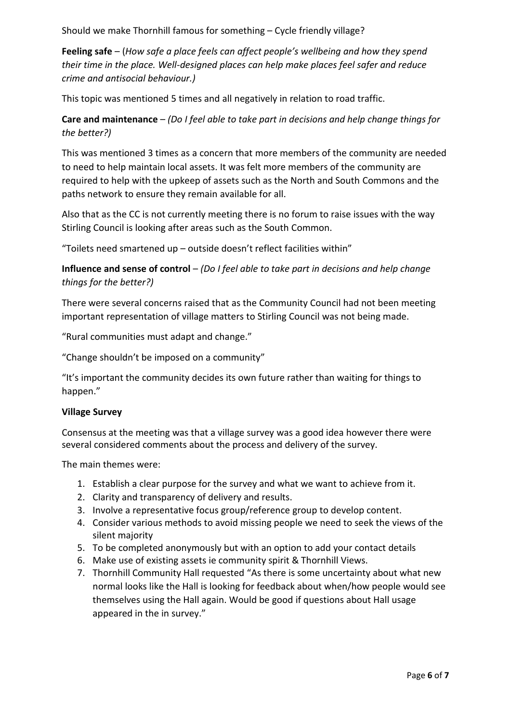Should we make Thornhill famous for something – Cycle friendly village?

**Feeling safe** – (*How safe a place feels can affect people's wellbeing and how they spend their time in the place. Well-designed places can help make places feel safer and reduce crime and antisocial behaviour.)*

This topic was mentioned 5 times and all negatively in relation to road traffic.

**Care and maintenance** – *(Do I feel able to take part in decisions and help change things for the better?)*

This was mentioned 3 times as a concern that more members of the community are needed to need to help maintain local assets. It was felt more members of the community are required to help with the upkeep of assets such as the North and South Commons and the paths network to ensure they remain available for all.

Also that as the CC is not currently meeting there is no forum to raise issues with the way Stirling Council is looking after areas such as the South Common.

"Toilets need smartened up – outside doesn't reflect facilities within"

**Influence and sense of control** – *(Do I feel able to take part in decisions and help change things for the better?)*

There were several concerns raised that as the Community Council had not been meeting important representation of village matters to Stirling Council was not being made.

"Rural communities must adapt and change."

"Change shouldn't be imposed on a community"

"It's important the community decides its own future rather than waiting for things to happen."

#### **Village Survey**

Consensus at the meeting was that a village survey was a good idea however there were several considered comments about the process and delivery of the survey.

The main themes were:

- 1. Establish a clear purpose for the survey and what we want to achieve from it.
- 2. Clarity and transparency of delivery and results.
- 3. Involve a representative focus group/reference group to develop content.
- 4. Consider various methods to avoid missing people we need to seek the views of the silent majority
- 5. To be completed anonymously but with an option to add your contact details
- 6. Make use of existing assets ie community spirit & Thornhill Views.
- 7. Thornhill Community Hall requested "As there is some uncertainty about what new normal looks like the Hall is looking for feedback about when/how people would see themselves using the Hall again. Would be good if questions about Hall usage appeared in the in survey."